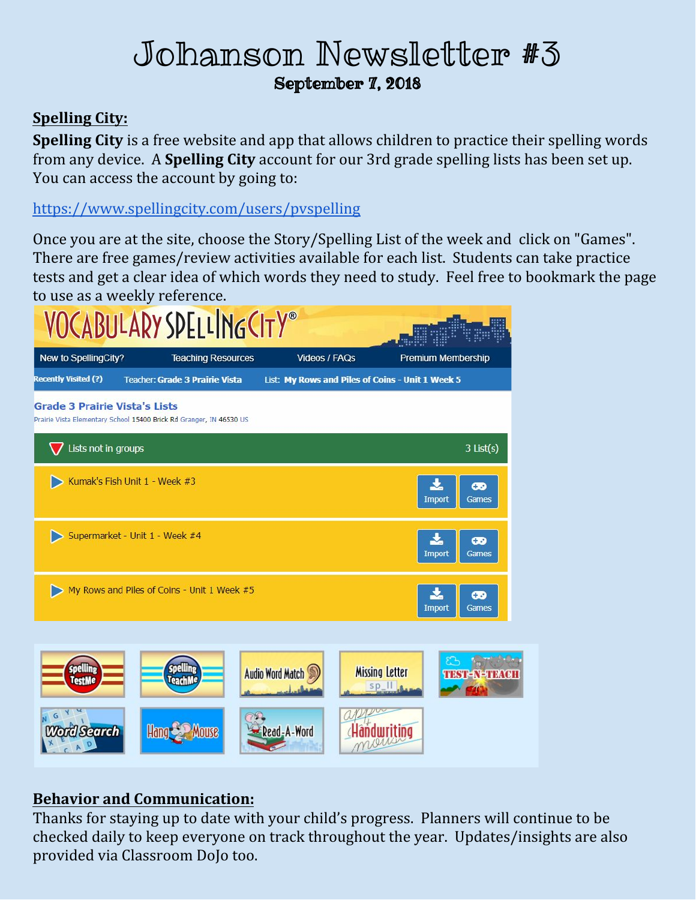# Johanson Newsletter #3 September 7, 2018

## **Spelling City:**

**Spelling City** is a free website and app that allows children to practice their spelling words from any device. A **Spelling City** account for our 3rd grade spelling lists has been set up. You can access the account by going to:

<https://www.spellingcity.com/users/pvspelling>

Once you are at the site, choose the Story/Spelling List of the week and click on "Games". There are free games/review activities available for each list. Students can take practice tests and get a clear idea of which words they need to study. Feel free to bookmark the page to use as a weekly reference.



### **Behavior and Communication:**

Thanks for staying up to date with your child's progress. Planners will continue to be checked daily to keep everyone on track throughout the year. Updates/insights are also provided via Classroom DoJo too.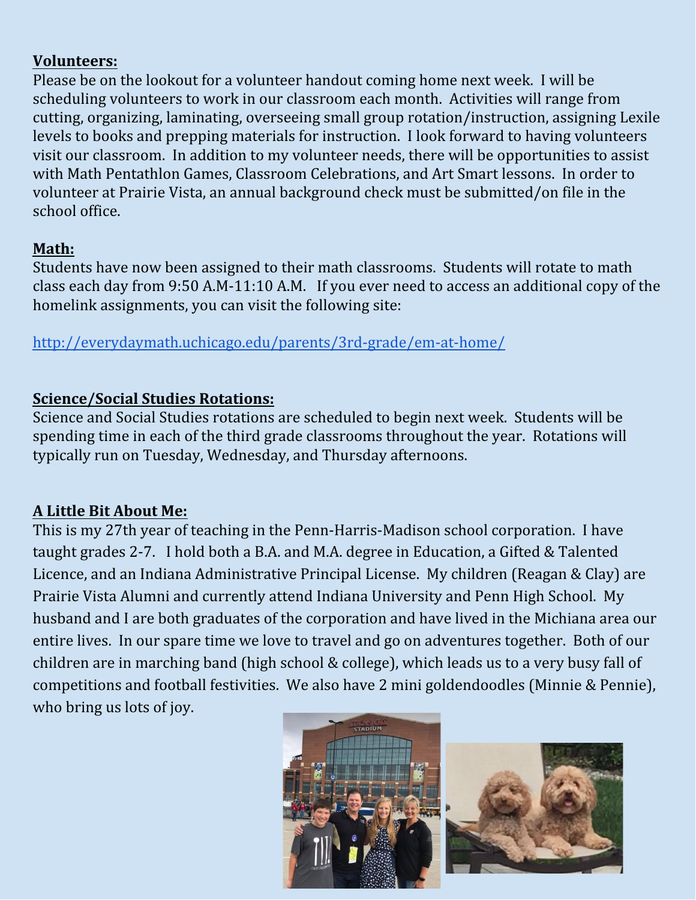#### **Volunteers:**

Please be on the lookout for a volunteer handout coming home next week. I will be scheduling volunteers to work in our classroom each month. Activities will range from cutting, organizing, laminating, overseeing small group rotation/instruction, assigning Lexile levels to books and prepping materials for instruction. I look forward to having volunteers visit our classroom. In addition to my volunteer needs, there will be opportunities to assist with Math Pentathlon Games, Classroom Celebrations, and Art Smart lessons. In order to volunteer at Prairie Vista, an annual background check must be submitted/on file in the school office.

#### **Math:**

Students have now been assigned to their math classrooms. Students will rotate to math class each day from 9:50 A.M-11:10 A.M. If you ever need to access an additional copy of the homelink assignments, you can visit the following site:

<http://everydaymath.uchicago.edu/parents/3rd-grade/em-at-home/>

#### **Science/Social Studies Rotations:**

Science and Social Studies rotations are scheduled to begin next week. Students will be spending time in each of the third grade classrooms throughout the year. Rotations will typically run on Tuesday, Wednesday, and Thursday afternoons.

### **A Little Bit About Me:**

This is my 27th year of teaching in the Penn-Harris-Madison school corporation. I have taught grades 2-7. I hold both a B.A. and M.A. degree in Education, a Gifted & Talented Licence, and an Indiana Administrative Principal License. My children (Reagan & Clay) are Prairie Vista Alumni and currently attend Indiana University and Penn High School. My husband and I are both graduates of the corporation and have lived in the Michiana area our entire lives. In our spare time we love to travel and go on adventures together. Both of our children are in marching band (high school & college), which leads us to a very busy fall of competitions and football festivities. We also have 2 mini goldendoodles (Minnie & Pennie), who bring us lots of joy.